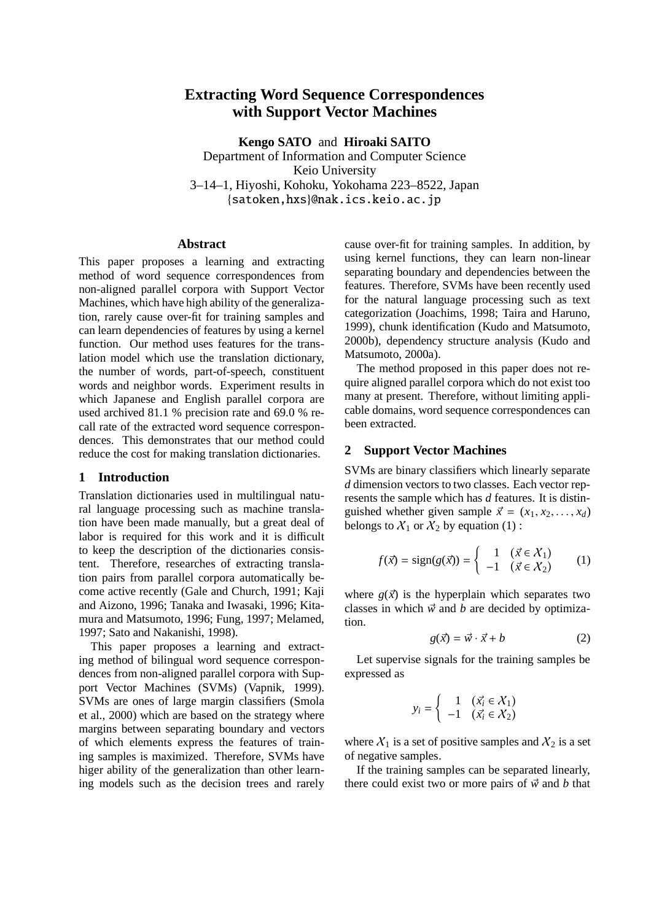# **Extracting Word Sequence Correspondences with Support Vector Machines**

**Kengo SATO** and **Hiroaki SAITO** Department of Information and Computer Science Keio University 3–14–1, Hiyoshi, Kohoku, Yokohama 223–8522, Japan {satoken,hxs}@nak.ics.keio.ac.jp

#### **Abstract**

This paper proposes a learning and extracting method of word sequence correspondences from non-aligned parallel corpora with Support Vector Machines, which have high ability of the generalization, rarely cause over-fit for training samples and can learn dependencies of features by using a kernel function. Our method uses features for the translation model which use the translation dictionary, the number of words, part-of-speech, constituent words and neighbor words. Experiment results in which Japanese and English parallel corpora are used archived 81.1 % precision rate and 69.0 % recall rate of the extracted word sequence correspondences. This demonstrates that our method could reduce the cost for making translation dictionaries.

### **1 Introduction**

Translation dictionaries used in multilingual natural language processing such as machine translation have been made manually, but a great deal of labor is required for this work and it is difficult to keep the description of the dictionaries consistent. Therefore, researches of extracting translation pairs from parallel corpora automatically become active recently (Gale and Church, 1991; Kaji and Aizono, 1996; Tanaka and Iwasaki, 1996; Kitamura and Matsumoto, 1996; Fung, 1997; Melamed, 1997; Sato and Nakanishi, 1998).

This paper proposes a learning and extracting method of bilingual word sequence correspondences from non-aligned parallel corpora with Support Vector Machines (SVMs) (Vapnik, 1999). SVMs are ones of large margin classifiers (Smola et al., 2000) which are based on the strategy where margins between separating boundary and vectors of which elements express the features of training samples is maximized. Therefore, SVMs have higer ability of the generalization than other learning models such as the decision trees and rarely cause over-fit for training samples. In addition, by using kernel functions, they can learn non-linear separating boundary and dependencies between the features. Therefore, SVMs have been recently used for the natural language processing such as text categorization (Joachims, 1998; Taira and Haruno, 1999), chunk identification (Kudo and Matsumoto, 2000b), dependency structure analysis (Kudo and Matsumoto, 2000a).

The method proposed in this paper does not require aligned parallel corpora which do not exist too many at present. Therefore, without limiting applicable domains, word sequence correspondences can been extracted.

### **2 Support Vector Machines**

SVMs are binary classifiers which linearly separate *d* dimension vectors to two classes. Each vector represents the sample which has *d* features. It is distinguished whether given sample  $\vec{x} = (x_1, x_2, \dots, x_d)$ belongs to  $X_1$  or  $X_2$  by equation (1):

$$
f(\vec{x}) = sign(g(\vec{x})) = \begin{cases} 1 & (\vec{x} \in \mathcal{X}_1) \\ -1 & (\vec{x} \in \mathcal{X}_2) \end{cases} (1)
$$

where  $g(\vec{x})$  is the hyperplain which separates two classes in which  $\vec{w}$  and *b* are decided by optimization.

$$
g(\vec{x}) = \vec{w} \cdot \vec{x} + b \tag{2}
$$

Let supervise signals for the training samples be expressed as

$$
y_i = \begin{cases} 1 & (\vec{x_i} \in \mathcal{X}_1) \\ -1 & (\vec{x_i} \in \mathcal{X}_2) \end{cases}
$$

where  $X_1$  is a set of positive samples and  $X_2$  is a set of negative samples.

If the training samples can be separated linearly, there could exist two or more pairs of  $\vec{w}$  and *b* that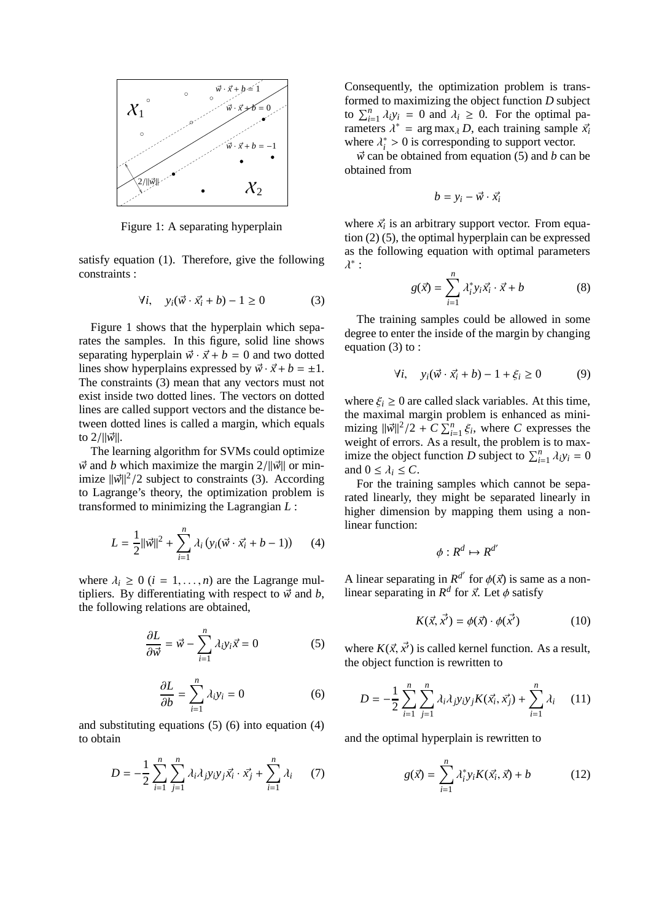

Figure 1: A separating hyperplain

satisfy equation (1). Therefore, give the following constraints :

$$
\forall i, \quad y_i(\vec{w} \cdot \vec{x_i} + b) - 1 \ge 0 \tag{3}
$$

Figure 1 shows that the hyperplain which separates the samples. In this figure, solid line shows separating hyperplain  $\vec{w} \cdot \vec{x} + b = 0$  and two dotted lines show hyperplains expressed by  $\vec{w} \cdot \vec{x} + b = \pm 1$ . The constraints (3) mean that any vectors must not exist inside two dotted lines. The vectors on dotted lines are called support vectors and the distance between dotted lines is called a margin, which equals to 2/||v<sup>i</sup>ll.

The learning algorithm for SVMs could optimize  $\vec{w}$  and *b* which maximize the margin 2/ $\|\vec{w}\|$  or minimize  $\|\vec{w}\|^2/2$  subject to constraints (3). According to Lagrange's theory, the optimization problem is transformed to minimizing the Lagrangian *L* :

$$
L = \frac{1}{2} ||\vec{w}||^2 + \sum_{i=1}^{n} \lambda_i (y_i(\vec{w} \cdot \vec{x_i} + b - 1))
$$
 (4)

where  $\lambda_i \geq 0$  ( $i = 1, \ldots, n$ ) are the Lagrange multipliers. By differentiating with respect to  $\vec{w}$  and *b*, the following relations are obtained,

$$
\frac{\partial L}{\partial \vec{w}} = \vec{w} - \sum_{i=1}^{n} \lambda_i y_i \vec{x} = 0
$$
 (5)

$$
\frac{\partial L}{\partial b} = \sum_{i=1}^{n} \lambda_i y_i = 0
$$
 (6)

and substituting equations (5) (6) into equation (4) to obtain

$$
D = -\frac{1}{2} \sum_{i=1}^{n} \sum_{j=1}^{n} \lambda_i \lambda_j y_i y_j \vec{x}_i \cdot \vec{x}_j + \sum_{i=1}^{n} \lambda_i \qquad (7)
$$

Consequently, the optimization problem is transformed to maximizing the object function *D* subject to  $\sum_{i=1}^{n} \lambda_i y_i = 0$  and  $\lambda_i \geq 0$ . For the optimal parameters  $\lambda^*$  = arg max<sub> $\lambda$ </sub> *D*, each training sample  $\vec{x_i}$ where  $\lambda_i^* > 0$  is corresponding to support vector.

 $\vec{w}$  can be obtained from equation (5) and *b* can be obtained from

$$
b=y_i-\vec{w}\cdot\vec{x_i}
$$

where  $\vec{x_i}$  is an arbitrary support vector. From equation (2) (5), the optimal hyperplain can be expressed as the following equation with optimal parameters  $\lambda^*$  :

$$
g(\vec{x}) = \sum_{i=1}^{n} \lambda_i^* y_i \vec{x}_i \cdot \vec{x} + b \tag{8}
$$

The training samples could be allowed in some degree to enter the inside of the margin by changing equation (3) to :

$$
\forall i, \quad y_i(\vec{w} \cdot \vec{x_i} + b) - 1 + \xi_i \ge 0 \tag{9}
$$

where  $\xi_i \geq 0$  are called slack variables. At this time, the maximal margin problem is enhanced as minimizing  $\|\vec{w}\|^2/2 + C \sum_{i=1}^{n} \xi_i$ , where *C* expresses the weight of errors. As a result, the problem is to maximize the object function *D* subject to  $\sum_{i=1}^{n} \lambda_i y_i = 0$ and  $0 \leq \lambda_i \leq C$ .

For the training samples which cannot be separated linearly, they might be separated linearly in higher dimension by mapping them using a nonlinear function:

$$
\phi: R^d \mapsto R^{d'}
$$

A linear separating in  $R^{d'}$  for  $\phi(\vec{x})$  is same as a nonlinear separating in  $R^d$  for  $\vec{x}$ . Let  $\phi$  satisfy

$$
K(\vec{x}, \vec{x'}) = \phi(\vec{x}) \cdot \phi(\vec{x'}) \tag{10}
$$

where  $K(\vec{x}, \vec{x'})$  is called kernel function. As a result, the object function is rewritten to

$$
D = -\frac{1}{2} \sum_{i=1}^{n} \sum_{j=1}^{n} \lambda_i \lambda_j y_i y_j K(\vec{x_i}, \vec{x_j}) + \sum_{i=1}^{n} \lambda_i \qquad (11)
$$

and the optimal hyperplain is rewritten to

$$
g(\vec{x}) = \sum_{i=1}^{n} \lambda_i^* y_i K(\vec{x_i}, \vec{x}) + b \qquad (12)
$$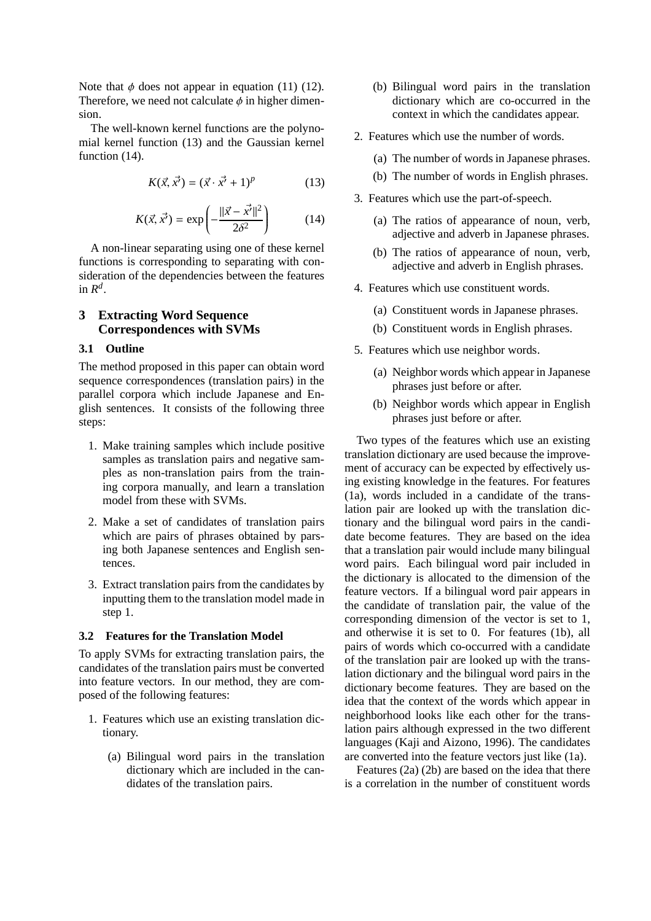Note that  $\phi$  does not appear in equation (11) (12). Therefore, we need not calculate  $\phi$  in higher dimension.

The well-known kernel functions are the polynomial kernel function (13) and the Gaussian kernel function  $(14)$ .

$$
K(\vec{x}, \vec{x'}) = (\vec{x} \cdot \vec{x'} + 1)^p \tag{13}
$$

$$
K(\vec{x}, \vec{x'}) = \exp\left(-\frac{\|\vec{x} - \vec{x'}\|^2}{2\delta^2}\right) \tag{14}
$$

A non-linear separating using one of these kernel functions is corresponding to separating with consideration of the dependencies between the features in  $R^d$ .

# **3 Extracting Word Sequence Correspondences with SVMs**

### **3.1 Outline**

The method proposed in this paper can obtain word sequence correspondences (translation pairs) in the parallel corpora which include Japanese and English sentences. It consists of the following three steps:

- 1. Make training samples which include positive samples as translation pairs and negative samples as non-translation pairs from the training corpora manually, and learn a translation model from these with SVMs.
- 2. Make a set of candidates of translation pairs which are pairs of phrases obtained by parsing both Japanese sentences and English sentences.
- 3. Extract translation pairs from the candidates by inputting them to the translation model made in step 1.

### **3.2 Features for the Translation Model**

To apply SVMs for extracting translation pairs, the candidates of the translation pairs must be converted into feature vectors. In our method, they are composed of the following features:

- 1. Features which use an existing translation dictionary.
	- (a) Bilingual word pairs in the translation dictionary which are included in the candidates of the translation pairs.
- (b) Bilingual word pairs in the translation dictionary which are co-occurred in the context in which the candidates appear.
- 2. Features which use the number of words.
	- (a) The number of words in Japanese phrases.
	- (b) The number of words in English phrases.
- 3. Features which use the part-of-speech.
	- (a) The ratios of appearance of noun, verb, adjective and adverb in Japanese phrases.
	- (b) The ratios of appearance of noun, verb, adjective and adverb in English phrases.
- 4. Features which use constituent words.
	- (a) Constituent words in Japanese phrases.
	- (b) Constituent words in English phrases.
- 5. Features which use neighbor words.
	- (a) Neighbor words which appear in Japanese phrases just before or after.
	- (b) Neighbor words which appear in English phrases just before or after.

Two types of the features which use an existing translation dictionary are used because the improvement of accuracy can be expected by effectively using existing knowledge in the features. For features (1a), words included in a candidate of the translation pair are looked up with the translation dictionary and the bilingual word pairs in the candidate become features. They are based on the idea that a translation pair would include many bilingual word pairs. Each bilingual word pair included in the dictionary is allocated to the dimension of the feature vectors. If a bilingual word pair appears in the candidate of translation pair, the value of the corresponding dimension of the vector is set to 1, and otherwise it is set to 0. For features (1b), all pairs of words which co-occurred with a candidate of the translation pair are looked up with the translation dictionary and the bilingual word pairs in the dictionary become features. They are based on the idea that the context of the words which appear in neighborhood looks like each other for the translation pairs although expressed in the two different languages (Kaji and Aizono, 1996). The candidates are converted into the feature vectors just like (1a).

Features (2a) (2b) are based on the idea that there is a correlation in the number of constituent words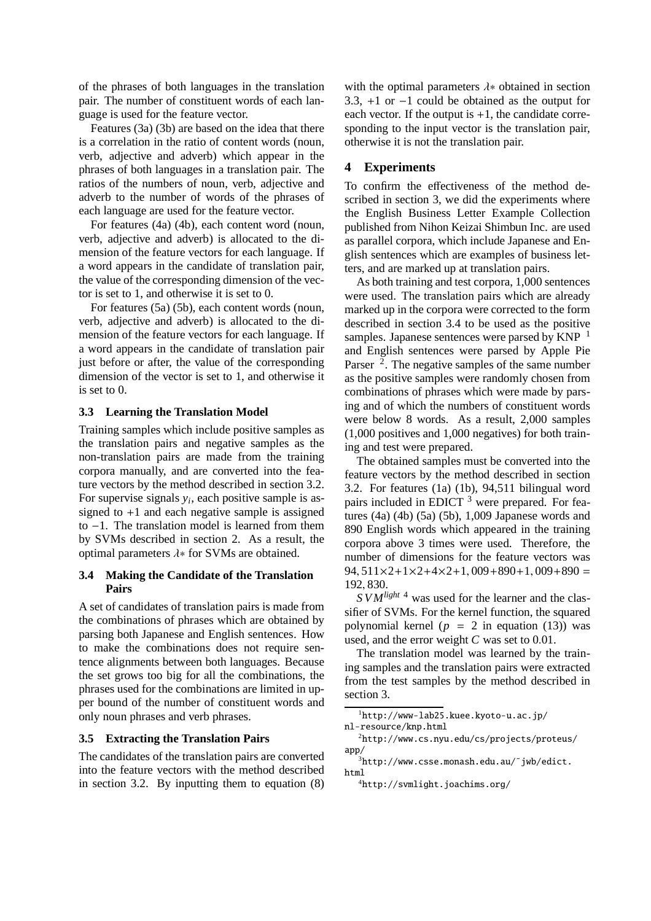of the phrases of both languages in the translation pair. The number of constituent words of each language is used for the feature vector.

Features (3a) (3b) are based on the idea that there is a correlation in the ratio of content words (noun, verb, adjective and adverb) which appear in the phrases of both languages in a translation pair. The ratios of the numbers of noun, verb, adjective and adverb to the number of words of the phrases of each language are used for the feature vector.

For features (4a) (4b), each content word (noun, verb, adjective and adverb) is allocated to the dimension of the feature vectors for each language. If a word appears in the candidate of translation pair, the value of the corresponding dimension of the vector is set to 1, and otherwise it is set to 0.

For features (5a) (5b), each content words (noun, verb, adjective and adverb) is allocated to the dimension of the feature vectors for each language. If a word appears in the candidate of translation pair just before or after, the value of the corresponding dimension of the vector is set to 1, and otherwise it is set to  $0$ .

# **3.3 Learning the Translation Model**

Training samples which include positive samples as the translation pairs and negative samples as the non-translation pairs are made from the training corpora manually, and are converted into the feature vectors by the method described in section 3.2. For supervise signals *y<sup>i</sup>* , each positive sample is assigned to  $+1$  and each negative sample is assigned to −1. The translation model is learned from them by SVMs described in section 2. As a result, the optimal parameters λ∗ for SVMs are obtained.

### **3.4 Making the Candidate of the Translation Pairs**

A set of candidates of translation pairs is made from the combinations of phrases which are obtained by parsing both Japanese and English sentences. How to make the combinations does not require sentence alignments between both languages. Because the set grows too big for all the combinations, the phrases used for the combinations are limited in upper bound of the number of constituent words and only noun phrases and verb phrases.

### **3.5 Extracting the Translation Pairs**

The candidates of the translation pairs are converted into the feature vectors with the method described in section 3.2. By inputting them to equation  $(8)$ 

with the optimal parameters  $\lambda$ \* obtained in section 3.3, +1 or −1 could be obtained as the output for each vector. If the output is  $+1$ , the candidate corresponding to the input vector is the translation pair, otherwise it is not the translation pair.

# **4 Experiments**

To confirm the effectiveness of the method described in section 3, we did the experiments where the English Business Letter Example Collection published from Nihon Keizai Shimbun Inc. are used as parallel corpora, which include Japanese and English sentences which are examples of business letters, and are marked up at translation pairs.

As both training and test corpora, 1,000 sentences were used. The translation pairs which are already marked up in the corpora were corrected to the form described in section 3.4 to be used as the positive samples. Japanese sentences were parsed by  $KNP^{-1}$ and English sentences were parsed by Apple Pie Parser  $\frac{2}{3}$ . The negative samples of the same number as the positive samples were randomly chosen from combinations of phrases which were made by parsing and of which the numbers of constituent words were below 8 words. As a result, 2,000 samples (1,000 positives and 1,000 negatives) for both training and test were prepared.

The obtained samples must be converted into the feature vectors by the method described in section 3.2. For features (1a) (1b), 94,511 bilingual word pairs included in EDICT  $3$  were prepared. For features  $(4a)$   $(4b)$   $(5a)$   $(5b)$ ,  $1,009$  Japanese words and 890 English words which appeared in the training corpora above 3 times were used. Therefore, the number of dimensions for the feature vectors was  $94.511\times2+1\times2+4\times2+1.009+890+1.009+890=$ 192, 830.

*S VMlight* <sup>4</sup> was used for the learner and the classifier of SVMs. For the kernel function, the squared polynomial kernel ( $p = 2$  in equation (13)) was used, and the error weight *C* was set to 0.01.

The translation model was learned by the training samples and the translation pairs were extracted from the test samples by the method described in section 3.

<sup>1</sup>http://www-lab25.kuee.kyoto-u.ac.jp/ nl-resource/knp.html

<sup>2</sup>http://www.cs.nyu.edu/cs/projects/proteus/ app/

 $3$ http://www.csse.monash.edu.au/~jwb/edict. html

<sup>4</sup>http://svmlight.joachims.org/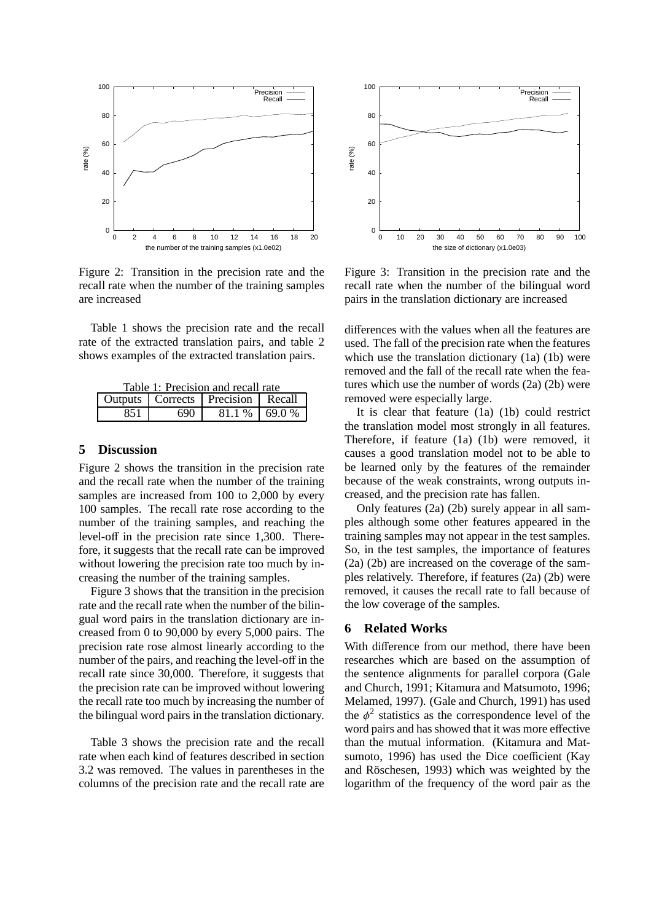

Figure 2: Transition in the precision rate and the recall rate when the number of the training samples are increased

Table 1 shows the precision rate and the recall rate of the extracted translation pairs, and table 2 shows examples of the extracted translation pairs.

Table 1: Precision and recall rate<br>
Outputs | Corrects | Precision | Recall Precision

851 690 81.1 % 69.0 %

### **5 Discussion**

Figure 2 shows the transition in the precision rate and the recall rate when the number of the training samples are increased from 100 to 2,000 by every 100 samples. The recall rate rose according to the number of the training samples, and reaching the level-off in the precision rate since 1,300. Therefore, it suggests that the recall rate can be improved without lowering the precision rate too much by increasing the number of the training samples.

Figure 3 shows that the transition in the precision rate and the recall rate when the number of the bilingual word pairs in the translation dictionary are increased from 0 to 90,000 by every 5,000 pairs. The precision rate rose almost linearly according to the number of the pairs, and reaching the level-off in the recall rate since 30,000. Therefore, it suggests that the precision rate can be improved without lowering the recall rate too much by increasing the number of the bilingual word pairs in the translation dictionary.

Table 3 shows the precision rate and the recall rate when each kind of features described in section 3.2 was removed. The values in parentheses in the columns of the precision rate and the recall rate are



Figure 3: Transition in the precision rate and the recall rate when the number of the bilingual word pairs in the translation dictionary are increased

differences with the values when all the features are used. The fall of the precision rate when the features which use the translation dictionary (1a) (1b) were removed and the fall of the recall rate when the features which use the number of words (2a) (2b) were removed were especially large.

It is clear that feature (1a) (1b) could restrict the translation model most strongly in all features. Therefore, if feature (1a) (1b) were removed, it causes a good translation model not to be able to be learned only by the features of the remainder because of the weak constraints, wrong outputs increased, and the precision rate has fallen.

Only features (2a) (2b) surely appear in all samples although some other features appeared in the training samples may not appear in the test samples. So, in the test samples, the importance of features (2a) (2b) are increased on the coverage of the samples relatively. Therefore, if features (2a) (2b) were removed, it causes the recall rate to fall because of the low coverage of the samples.

## **6 Related Works**

With difference from our method, there have been researches which are based on the assumption of the sentence alignments for parallel corpora (Gale and Church, 1991; Kitamura and Matsumoto, 1996; Melamed, 1997). (Gale and Church, 1991) has used the  $\phi^2$  statistics as the correspondence level of the word pairs and has showed that it was more effective than the mutual information. (Kitamura and Matsumoto, 1996) has used the Dice coefficient (Kay and Röschesen, 1993) which was weighted by the logarithm of the frequency of the word pair as the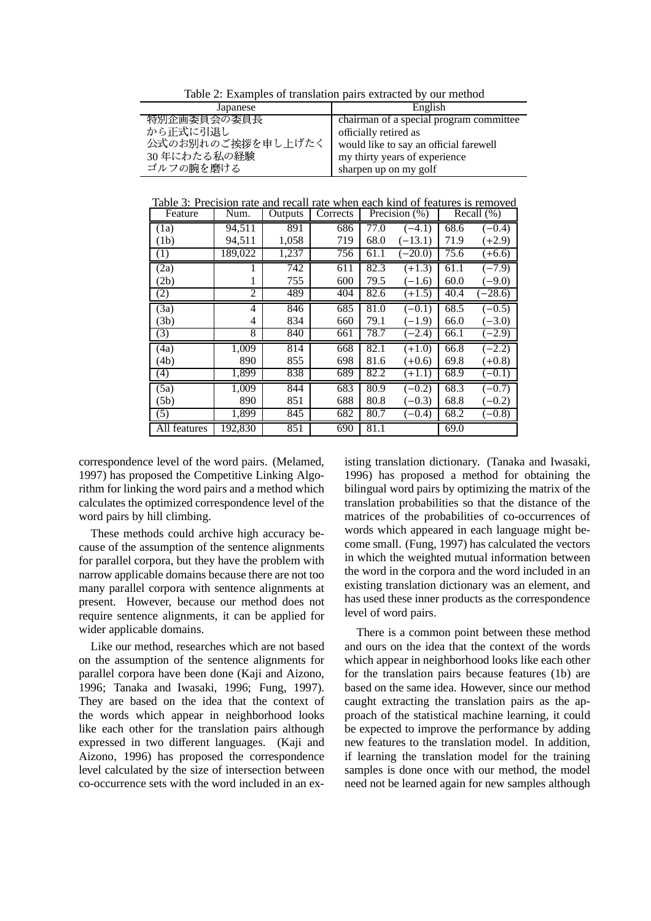Table 2: Examples of translation pairs extracted by our method

| Japanese                                                   | English                                 |  |  |
|------------------------------------------------------------|-----------------------------------------|--|--|
| 特別企画委員会の委員長                                                | chairman of a special program committee |  |  |
| から正式に引退し                                                   | officially retired as                   |  |  |
| 公式のお別れのご挨拶を申し上げたく   would like to say an official farewell |                                         |  |  |
| 30年にわたる私の経験                                                | my thirty years of experience           |  |  |
| ゴルフの腕を磨ける                                                  | sharpen up on my golf                   |  |  |

Table 3: Precision rate and recall rate when each kind of features is removed

| Feature           | Num.    | Outputs | Corrects | Precision (%) |           | Recall $(\%)$ |           |
|-------------------|---------|---------|----------|---------------|-----------|---------------|-----------|
| (1a)              | 94,511  | 891     | 686      | 77.0          | $(-4.1)$  | 68.6          | $(-0.4)$  |
| (1b)              | 94,511  | 1,058   | 719      | 68.0          | $(-13.1)$ | 71.9          | $(+2.9)$  |
| (1)               | 189,022 | 1,237   | 756      | 61.1          | $(-20.0)$ | 75.6          | $(+6.6)$  |
| (2a)              |         | 742     | 611      | 82.3          | $(+1.3)$  | 61.1          | $(-7.9)$  |
| (2b)              | 1       | 755     | 600      | 79.5          | $(-1.6)$  | 60.0          | $(-9.0)$  |
| (2)               | 2       | 489     | 404      | 82.6          | $(+1.5)$  | 40.4          | $(-28.6)$ |
| (3a)              | 4       | 846     | 685      | 81.0          | $(-0.1)$  | 68.5          | $(-0.5)$  |
| (3b)              | 4       | 834     | 660      | 79.1          | $(-1.9)$  | 66.0          | $(-3.0)$  |
| (3)               | 8       | 840     | 661      | 78.7          | $(-2.4)$  | 66.1          | $(-2.9)$  |
| (4a)              | 1,009   | 814     | 668      | 82.1          | $(+1.0)$  | 66.8          | $(-2.2)$  |
| (4b)              | 890     | 855     | 698      | 81.6          | $(+0.6)$  | 69.8          | $(+0.8)$  |
| $\overline{(4)}$  | 1,899   | 838     | 689      | 82.2          | $(+1.1)$  | 68.9          | $(-0.1)$  |
| $\overline{(5a)}$ | 1,009   | 844     | 683      | 80.9          | $(-0.2)$  | 68.3          | $(-0.7)$  |
| (5b)              | 890     | 851     | 688      | 80.8          | $(-0.3)$  | 68.8          | $(-0.2)$  |
| (5)               | 1,899   | 845     | 682      | 80.7          | $(-0.4)$  | 68.2          | $(-0.8)$  |
| All features      | 192,830 | 851     | 690      | 81.1          |           | 69.0          |           |

correspondence level of the word pairs. (Melamed, 1997) has proposed the Competitive Linking Algorithm for linking the word pairs and a method which calculates the optimized correspondence level of the word pairs by hill climbing.

These methods could archive high accuracy because of the assumption of the sentence alignments for parallel corpora, but they have the problem with narrow applicable domains because there are not too many parallel corpora with sentence alignments at present. However, because our method does not require sentence alignments, it can be applied for wider applicable domains.

Like our method, researches which are not based on the assumption of the sentence alignments for parallel corpora have been done (Kaji and Aizono, 1996; Tanaka and Iwasaki, 1996; Fung, 1997). They are based on the idea that the context of the words which appear in neighborhood looks like each other for the translation pairs although expressed in two different languages. (Kaji and Aizono, 1996) has proposed the correspondence level calculated by the size of intersection between co-occurrence sets with the word included in an existing translation dictionary. (Tanaka and Iwasaki, 1996) has proposed a method for obtaining the bilingual word pairs by optimizing the matrix of the translation probabilities so that the distance of the matrices of the probabilities of co-occurrences of words which appeared in each language might become small. (Fung, 1997) has calculated the vectors in which the weighted mutual information between the word in the corpora and the word included in an existing translation dictionary was an element, and has used these inner products as the correspondence level of word pairs.

There is a common point between these method and ours on the idea that the context of the words which appear in neighborhood looks like each other for the translation pairs because features (1b) are based on the same idea. However, since our method caught extracting the translation pairs as the approach of the statistical machine learning, it could be expected to improve the performance by adding new features to the translation model. In addition, if learning the translation model for the training samples is done once with our method, the model need not be learned again for new samples although